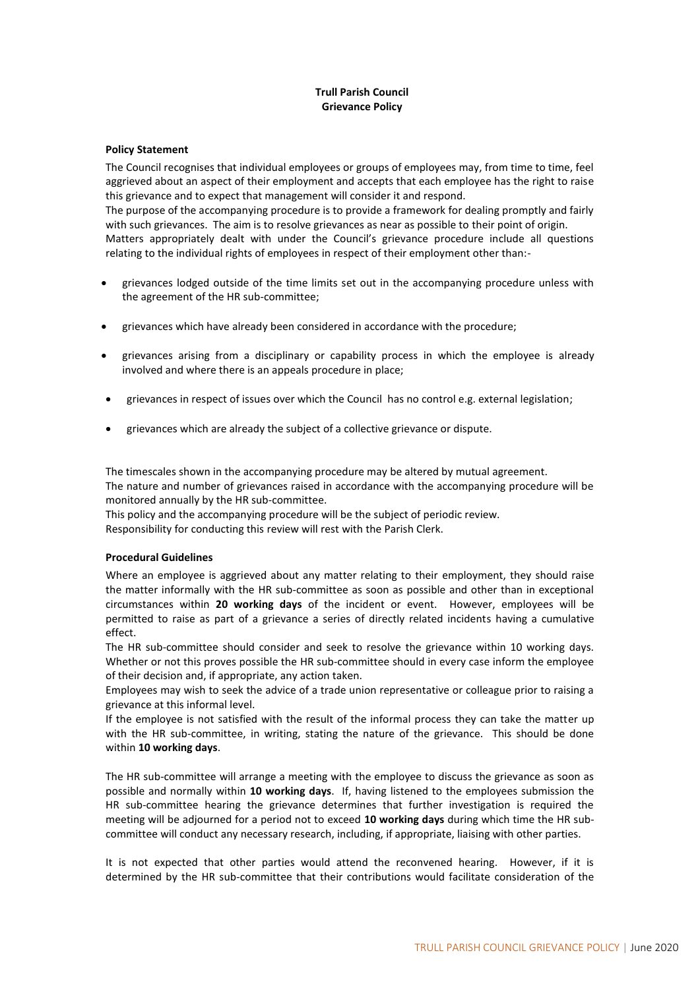## **Trull Parish Council Grievance Policy**

## **Policy Statement**

The Council recognises that individual employees or groups of employees may, from time to time, feel aggrieved about an aspect of their employment and accepts that each employee has the right to raise this grievance and to expect that management will consider it and respond.

The purpose of the accompanying procedure is to provide a framework for dealing promptly and fairly with such grievances. The aim is to resolve grievances as near as possible to their point of origin. Matters appropriately dealt with under the Council's grievance procedure include all questions relating to the individual rights of employees in respect of their employment other than:-

- grievances lodged outside of the time limits set out in the accompanying procedure unless with the agreement of the HR sub-committee;
- grievances which have already been considered in accordance with the procedure;
- grievances arising from a disciplinary or capability process in which the employee is already involved and where there is an appeals procedure in place;
- grievances in respect of issues over which the Council has no control e.g. external legislation;
- grievances which are already the subject of a collective grievance or dispute.

The timescales shown in the accompanying procedure may be altered by mutual agreement. The nature and number of grievances raised in accordance with the accompanying procedure will be monitored annually by the HR sub-committee.

This policy and the accompanying procedure will be the subject of periodic review.

Responsibility for conducting this review will rest with the Parish Clerk.

## **Procedural Guidelines**

Where an employee is aggrieved about any matter relating to their employment, they should raise the matter informally with the HR sub-committee as soon as possible and other than in exceptional circumstances within **20 working days** of the incident or event. However, employees will be permitted to raise as part of a grievance a series of directly related incidents having a cumulative effect.

The HR sub-committee should consider and seek to resolve the grievance within 10 working days. Whether or not this proves possible the HR sub-committee should in every case inform the employee of their decision and, if appropriate, any action taken.

Employees may wish to seek the advice of a trade union representative or colleague prior to raising a grievance at this informal level.

If the employee is not satisfied with the result of the informal process they can take the matter up with the HR sub-committee, in writing, stating the nature of the grievance. This should be done within **10 working days**.

The HR sub-committee will arrange a meeting with the employee to discuss the grievance as soon as possible and normally within **10 working days**. If, having listened to the employees submission the HR sub-committee hearing the grievance determines that further investigation is required the meeting will be adjourned for a period not to exceed **10 working days** during which time the HR subcommittee will conduct any necessary research, including, if appropriate, liaising with other parties.

It is not expected that other parties would attend the reconvened hearing. However, if it is determined by the HR sub-committee that their contributions would facilitate consideration of the